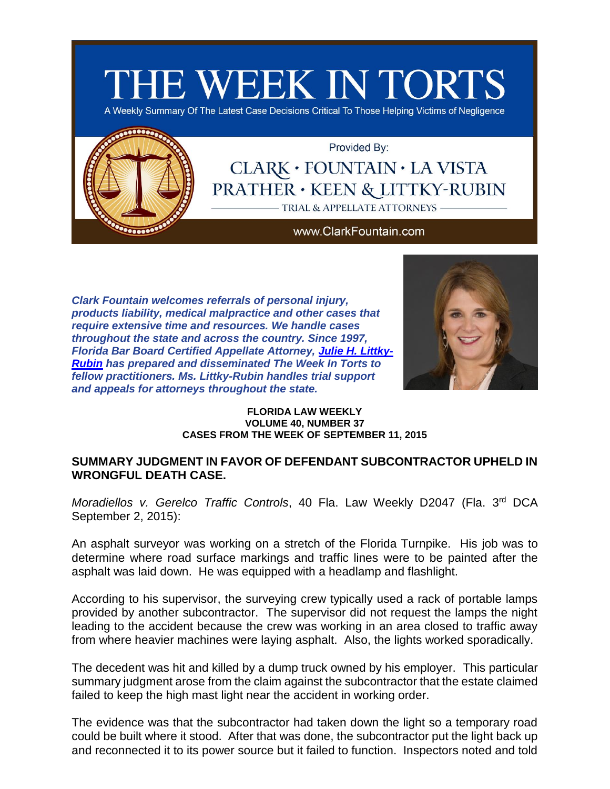

A Weekly Summary Of The Latest Case Decisions Critical To Those Helping Victims of Negligence



Provided By:

# CLARK · FOUNTAIN · LA VISTA **PRATHER · KEEN & LITTKY-RUBIN** TRIAL & APPELLATE ATTORNEYS

#### www.ClarkFountain.com

*Clark Fountain welcomes referrals of personal injury, products liability, medical malpractice and other cases that require extensive time and resources. We handle cases throughout the state and across the country. Since 1997, Florida Bar Board Certified Appellate Attorney, [Julie H. Littky-](http://app.bronto.com/public/?q=ulink&fn=Link&ssid=28738&id=atn8onedz0agnkxfdiaytau9k1rru&id2=3s4ntuxghs2wse5lqz175gyoao6yn&subscriber_id=1eu1zr3jzl364qpqr9ovmr0lfnh4k&delivery_id=atcnrsuompkhejscjmfouoggcseebpa&tid=3.cEI.CUNRVw.C2PE.AWdaIQ..AelcJg.b..l.B7sE.b.VEACsQ.VEA1UQ.E4Dfow&td=)[Rubin](http://app.bronto.com/public/?q=ulink&fn=Link&ssid=28738&id=atn8onedz0agnkxfdiaytau9k1rru&id2=3s4ntuxghs2wse5lqz175gyoao6yn&subscriber_id=1eu1zr3jzl364qpqr9ovmr0lfnh4k&delivery_id=atcnrsuompkhejscjmfouoggcseebpa&tid=3.cEI.CUNRVw.C2PE.AWdaIQ..AelcJg.b..l.B7sE.b.VEACsQ.VEA1UQ.E4Dfow&td=) has prepared and disseminated The Week In Torts to fellow practitioners. Ms. Littky-Rubin handles trial support and appeals for attorneys throughout the state.*



#### **FLORIDA LAW WEEKLY VOLUME 40, NUMBER 37 CASES FROM THE WEEK OF SEPTEMBER 11, 2015**

### **SUMMARY JUDGMENT IN FAVOR OF DEFENDANT SUBCONTRACTOR UPHELD IN WRONGFUL DEATH CASE.**

Moradiellos v. Gerelco Traffic Controls, 40 Fla. Law Weekly D2047 (Fla. 3rd DCA September 2, 2015):

An asphalt surveyor was working on a stretch of the Florida Turnpike. His job was to determine where road surface markings and traffic lines were to be painted after the asphalt was laid down. He was equipped with a headlamp and flashlight.

According to his supervisor, the surveying crew typically used a rack of portable lamps provided by another subcontractor. The supervisor did not request the lamps the night leading to the accident because the crew was working in an area closed to traffic away from where heavier machines were laying asphalt. Also, the lights worked sporadically.

The decedent was hit and killed by a dump truck owned by his employer. This particular summary judgment arose from the claim against the subcontractor that the estate claimed failed to keep the high mast light near the accident in working order.

The evidence was that the subcontractor had taken down the light so a temporary road could be built where it stood. After that was done, the subcontractor put the light back up and reconnected it to its power source but it failed to function. Inspectors noted and told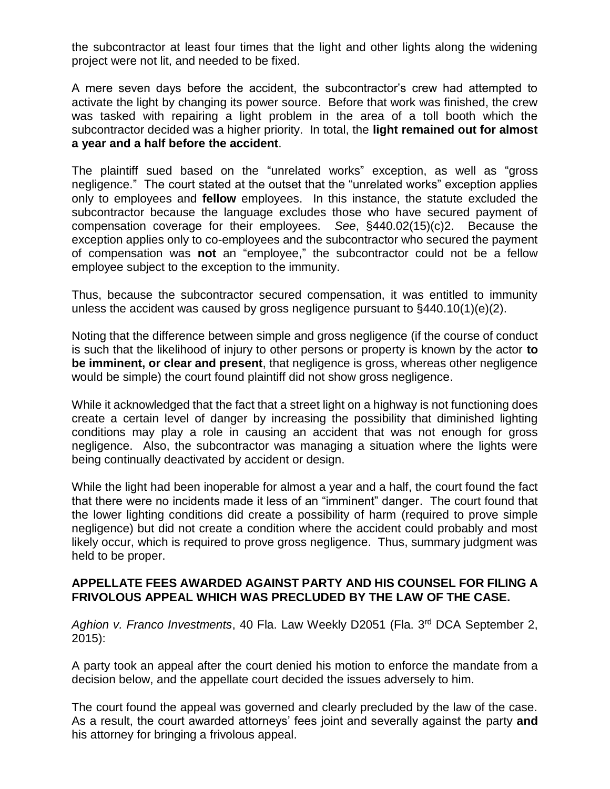the subcontractor at least four times that the light and other lights along the widening project were not lit, and needed to be fixed.

A mere seven days before the accident, the subcontractor's crew had attempted to activate the light by changing its power source. Before that work was finished, the crew was tasked with repairing a light problem in the area of a toll booth which the subcontractor decided was a higher priority. In total, the **light remained out for almost a year and a half before the accident**.

The plaintiff sued based on the "unrelated works" exception, as well as "gross negligence." The court stated at the outset that the "unrelated works" exception applies only to employees and **fellow** employees. In this instance, the statute excluded the subcontractor because the language excludes those who have secured payment of compensation coverage for their employees. *See*, §440.02(15)(c)2. Because the exception applies only to co-employees and the subcontractor who secured the payment of compensation was **not** an "employee," the subcontractor could not be a fellow employee subject to the exception to the immunity.

Thus, because the subcontractor secured compensation, it was entitled to immunity unless the accident was caused by gross negligence pursuant to  $\S440.10(1)(e)(2)$ .

Noting that the difference between simple and gross negligence (if the course of conduct is such that the likelihood of injury to other persons or property is known by the actor **to be imminent, or clear and present**, that negligence is gross, whereas other negligence would be simple) the court found plaintiff did not show gross negligence.

While it acknowledged that the fact that a street light on a highway is not functioning does create a certain level of danger by increasing the possibility that diminished lighting conditions may play a role in causing an accident that was not enough for gross negligence. Also, the subcontractor was managing a situation where the lights were being continually deactivated by accident or design.

While the light had been inoperable for almost a year and a half, the court found the fact that there were no incidents made it less of an "imminent" danger. The court found that the lower lighting conditions did create a possibility of harm (required to prove simple negligence) but did not create a condition where the accident could probably and most likely occur, which is required to prove gross negligence. Thus, summary judgment was held to be proper.

### **APPELLATE FEES AWARDED AGAINST PARTY AND HIS COUNSEL FOR FILING A FRIVOLOUS APPEAL WHICH WAS PRECLUDED BY THE LAW OF THE CASE.**

*Aghion v. Franco Investments*, 40 Fla. Law Weekly D2051 (Fla. 3rd DCA September 2, 2015):

A party took an appeal after the court denied his motion to enforce the mandate from a decision below, and the appellate court decided the issues adversely to him.

The court found the appeal was governed and clearly precluded by the law of the case. As a result, the court awarded attorneys' fees joint and severally against the party **and** his attorney for bringing a frivolous appeal.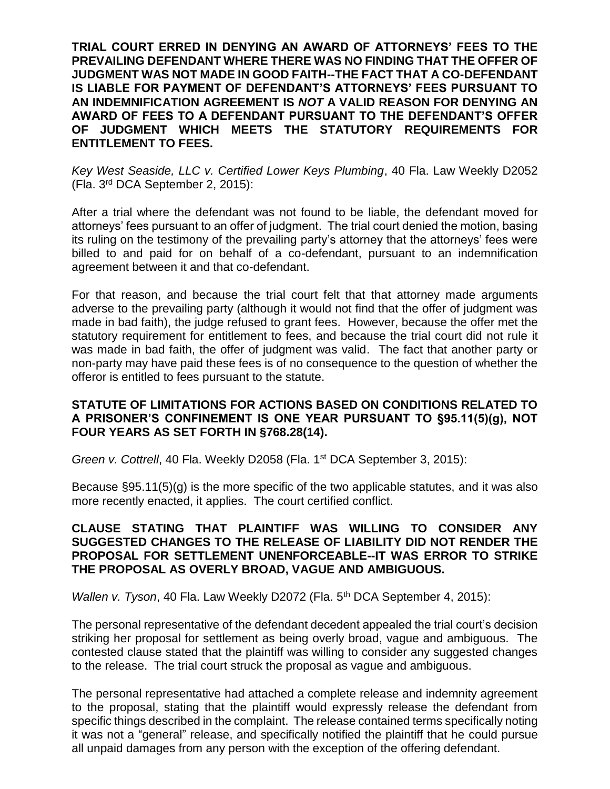**TRIAL COURT ERRED IN DENYING AN AWARD OF ATTORNEYS' FEES TO THE PREVAILING DEFENDANT WHERE THERE WAS NO FINDING THAT THE OFFER OF JUDGMENT WAS NOT MADE IN GOOD FAITH--THE FACT THAT A CO-DEFENDANT IS LIABLE FOR PAYMENT OF DEFENDANT'S ATTORNEYS' FEES PURSUANT TO AN INDEMNIFICATION AGREEMENT IS** *NOT* **A VALID REASON FOR DENYING AN AWARD OF FEES TO A DEFENDANT PURSUANT TO THE DEFENDANT'S OFFER OF JUDGMENT WHICH MEETS THE STATUTORY REQUIREMENTS FOR ENTITLEMENT TO FEES.**

*Key West Seaside, LLC v. Certified Lower Keys Plumbing*, 40 Fla. Law Weekly D2052 (Fla. 3rd DCA September 2, 2015):

After a trial where the defendant was not found to be liable, the defendant moved for attorneys' fees pursuant to an offer of judgment. The trial court denied the motion, basing its ruling on the testimony of the prevailing party's attorney that the attorneys' fees were billed to and paid for on behalf of a co-defendant, pursuant to an indemnification agreement between it and that co-defendant.

For that reason, and because the trial court felt that that attorney made arguments adverse to the prevailing party (although it would not find that the offer of judgment was made in bad faith), the judge refused to grant fees. However, because the offer met the statutory requirement for entitlement to fees, and because the trial court did not rule it was made in bad faith, the offer of judgment was valid. The fact that another party or non-party may have paid these fees is of no consequence to the question of whether the offeror is entitled to fees pursuant to the statute.

## **STATUTE OF LIMITATIONS FOR ACTIONS BASED ON CONDITIONS RELATED TO A PRISONER'S CONFINEMENT IS ONE YEAR PURSUANT TO §95.11(5)(g), NOT FOUR YEARS AS SET FORTH IN §768.28(14).**

*Green v. Cottrell*, 40 Fla. Weekly D2058 (Fla. 1<sup>st</sup> DCA September 3, 2015):

Because §95.11(5)(g) is the more specific of the two applicable statutes, and it was also more recently enacted, it applies. The court certified conflict.

### **CLAUSE STATING THAT PLAINTIFF WAS WILLING TO CONSIDER ANY SUGGESTED CHANGES TO THE RELEASE OF LIABILITY DID NOT RENDER THE PROPOSAL FOR SETTLEMENT UNENFORCEABLE--IT WAS ERROR TO STRIKE THE PROPOSAL AS OVERLY BROAD, VAGUE AND AMBIGUOUS.**

*Wallen v. Tyson*, 40 Fla. Law Weekly D2072 (Fla. 5<sup>th</sup> DCA September 4, 2015):

The personal representative of the defendant decedent appealed the trial court's decision striking her proposal for settlement as being overly broad, vague and ambiguous. The contested clause stated that the plaintiff was willing to consider any suggested changes to the release. The trial court struck the proposal as vague and ambiguous.

The personal representative had attached a complete release and indemnity agreement to the proposal, stating that the plaintiff would expressly release the defendant from specific things described in the complaint. The release contained terms specifically noting it was not a "general" release, and specifically notified the plaintiff that he could pursue all unpaid damages from any person with the exception of the offering defendant.